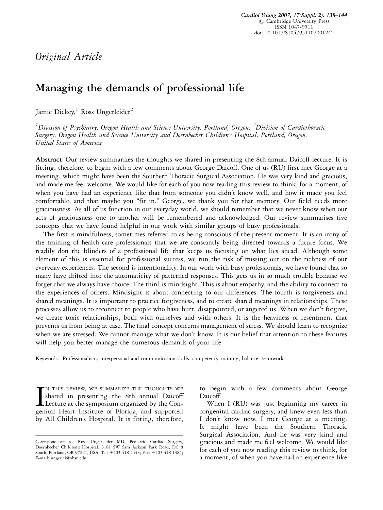# Managing the demands of professional life

Jamie Dickey,<sup>1</sup> Ross Ungerleider<sup>2</sup>

 $^1$ Division of Psychiatry, Oregon Health and Science University, Portland, Oregon;  $^2$ Division of Cardiothoracic Surgery, Oregon Health and Science University and Doernbecher Children's Hospital, Portland, Oregon, United States of America

Abstract Our review summarizes the thoughts we shared in presenting the 8th annual Daicoff lecture. It is fitting, therefore, to begin with a few comments about George Daicoff. One of us (RU) first met George at a meeting, which might have been the Southern Thoracic Surgical Association. He was very kind and gracious, and made me feel welcome. We would like for each of you now reading this review to think, for a moment, of when you have had an experience like that from someone you didn't know well, and how it made you feel comfortable, and that maybe you ''fit in.'' George, we thank you for that memory. Our field needs more graciousness. As all of us function in our everyday world, we should remember that we never know when our acts of graciousness one to another will be remembered and acknowledged. Our review summarises five concepts that we have found helpful in our work with similar groups of busy professionals.

The first is mindfulness, sometimes referred to as being conscious of the present moment. It is an irony of the training of health care professionals that we are constantly being directed towards a future focus. We readily don the blinders of a professional life that keeps us focusing on what lies ahead. Although some element of this is essential for professional success, we run the risk of missing out on the richness of our everyday experiences. The second is intentionality. In our work with busy professionals, we have found that so many have drifted into the automaticity of patterned responses. This gets us in so much trouble because we forget that we always have choice. The third is mindsight. This is about empathy, and the ability to connect to the experiences of others. Mindsight is about connecting to our differences. The fourth is forgiveness and shared meanings. It is important to practice forgiveness, and to create shared meanings in relationships. These processes allow us to reconnect to people who have hurt, disappointed, or angered us. When we don't forgive, we create toxic relationships, both with ourselves and with others. It is the heaviness of resentment that prevents us from being at ease. The final concept concerns management of stress. We should learn to recognize when we are stressed. We cannot manage what we don't know. It is our belief that attention to these features will help you better manage the numerous demands of your life.

Keywords: Professionalism; interpersonal and communication skills; competency training; balance; teamwork

 $\prod_{gen}$ N THIS REVIEW, WE SUMMARIZE THE THOUGHTS WE shared in presenting the 8th annual Daicoff Lecture at the symposium organized by the Congenital Heart Institute of Florida, and supported by All Children's Hospital. It is fitting, therefore,

to begin with a few comments about George Daicoff.

When I (RU) was just beginning my career in congenital cardiac surgery, and knew even less than I don't know now, I met George at a meeting. It might have been the Southern Thoracic Surgical Association. And he was very kind and gracious and made me feel welcome. We would like for each of you now reading this review to think, for a moment, of when you have had an experience like

Correspondence to: Ross Ungerleider MD, Pediatric Cardiac Surgery, Doernbecher Children's Hospital, 3181 SW Sam Jackson Park Road, DC 8 South, Portland, OR 97221, USA. Tel: +503 418 5443; Fax: +503 418 1385; E-mail: ungerlei@ohsu.edu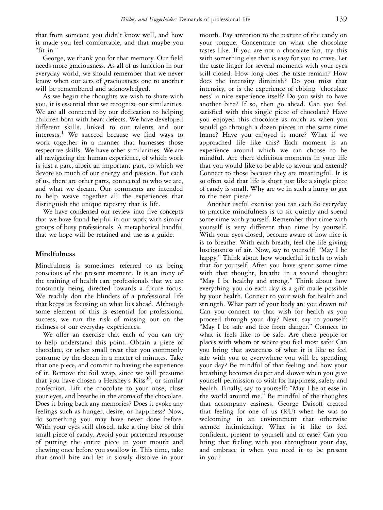that from someone you didn't know well, and how it made you feel comfortable, and that maybe you ''fit in.''

George, we thank you for that memory. Our field needs more graciousness. As all of us function in our everyday world, we should remember that we never know when our acts of graciousness one to another will be remembered and acknowledged.

As we begin the thoughts we wish to share with you, it is essential that we recognize our similarities. We are all connected by our dedication to helping children born with heart defects. We have developed different skills, linked to our talents and our interests.<sup>1</sup> We succeed because we find ways to work together in a manner that harnesses those respective skills. We have other similarities. We are all navigating the human experience, of which work is just a part, albeit an important part, to which we devote so much of our energy and passion. For each of us, there are other parts, connected to who we are, and what we dream. Our comments are intended to help weave together all the experiences that distinguish the unique tapestry that is life.

We have condensed our review into five concepts that we have found helpful in our work with similar groups of busy professionals. A metaphorical handful that we hope will be retained and use as a guide.

#### Mindfulness

Mindfulness is sometimes referred to as being conscious of the present moment. It is an irony of the training of health care professionals that we are constantly being directed towards a future focus. We readily don the blinders of a professional life that keeps us focusing on what lies ahead. Although some element of this is essential for professional success, we run the risk of missing out on the richness of our everyday experiences.

We offer an exercise that each of you can try to help understand this point. Obtain a piece of chocolate, or other small treat that you commonly consume by the dozen in a matter of minutes. Take that one piece, and commit to having the experience of it. Remove the foil wrap, since we will presume that you have chosen a Hershey's Kiss $^{\circledR}$ , or similar confection. Lift the chocolate to your nose, close your eyes, and breathe in the aroma of the chocolate. Does it bring back any memories? Does it evoke any feelings such as hunger, desire, or happiness? Now, do something you may have never done before. With your eyes still closed, take a tiny bite of this small piece of candy. Avoid your patterned response of putting the entire piece in your mouth and chewing once before you swallow it. This time, take that small bite and let it slowly dissolve in your

mouth. Pay attention to the texture of the candy on your tongue. Concentrate on what the chocolate tastes like. If you are not a chocolate fan, try this with something else that is easy for you to crave. Let the taste linger for several moments with your eyes still closed. How long does the taste remain? How does the intensity diminish? Do you miss that intensity, or is the experience of ebbing ''chocolate ness'' a nice experience itself? Do you wish to have another bite? If so, then go ahead. Can you feel satisfied with this single piece of chocolate? Have you enjoyed this chocolate as much as when you would go through a dozen pieces in the same time frame? Have you enjoyed it more? What if we approached life like this? Each moment is an experience around which we can choose to be mindful. Are there delicious moments in your life that you would like to be able to savour and extend? Connect to those because they are meaningful. It is so often said that life is short just like a single piece of candy is small. Why are we in such a hurry to get to the next piece?

Another useful exercise you can each do everyday to practice mindfulness is to sit quietly and spend some time with yourself. Remember that time with yourself is very different than time by yourself. With your eyes closed, become aware of how nice it is to breathe. With each breath, feel the life giving lusciousness of air. Now, say to yourself: ''May I be happy.'' Think about how wonderful it feels to wish that for yourself. After you have spent some time with that thought, breathe in a second thought: "May I be healthy and strong." Think about how everything you do each day is a gift made possible by your health. Connect to your wish for health and strength. What part of your body are you drawn to? Can you connect to that wish for health as you proceed through your day? Next, say to yourself: "May I be safe and free from danger." Connect to what it feels like to be safe. Are there people or places with whom or where you feel most safe? Can you bring that awareness of what it is like to feel safe with you to everywhere you will be spending your day? Be mindful of that feeling and how your breathing becomes deeper and slower when you give yourself permission to wish for happiness, safety and health. Finally, say to yourself: ''May I be at ease in the world around me.'' Be mindful of the thoughts that accompany easiness. George Daicoff created that feeling for one of us (RU) when he was so welcoming in an environment that otherwise seemed intimidating. What is it like to feel confident, present to yourself and at ease? Can you bring that feeling with you throughout your day, and embrace it when you need it to be present in you?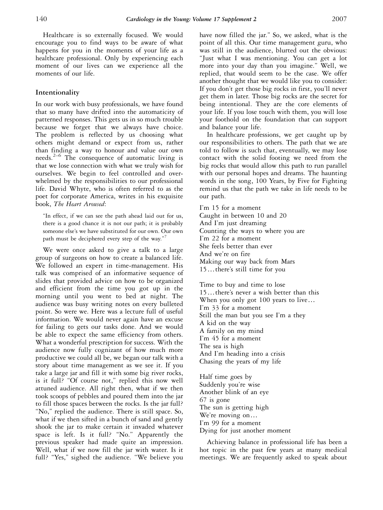Healthcare is so externally focused. We would encourage you to find ways to be aware of what happens for you in the moments of your life as a healthcare professional. Only by experiencing each moment of our lives can we experience all the moments of our life.

# Intentionality

In our work with busy professionals, we have found that so many have drifted into the automaticity of patterned responses. This gets us in so much trouble because we forget that we always have choice. The problem is reflected by us choosing what others might demand or expect from us, rather than finding a way to honour and value our own needs.<sup>2–6</sup> The consequence of automatic living is that we lose connection with what we truly wish for ourselves. We begin to feel controlled and overwhelmed by the responsibilities to our professional life. David Whyte, who is often referred to as the poet for corporate America, writes in his exquisite book, The Heart Aroused:

''In effect, if we can see the path ahead laid out for us, there is a good chance it is not our path; it is probably someone else's we have substituted for our own. Our own path must be deciphered every step of the way."7

We were once asked to give a talk to a large group of surgeons on how to create a balanced life. We followed an expert in time-management. His talk was comprised of an informative sequence of slides that provided advice on how to be organized and efficient from the time you got up in the morning until you went to bed at night. The audience was busy writing notes on every bulleted point. So were we. Here was a lecture full of useful information. We would never again have an excuse for failing to gets our tasks done. And we would be able to expect the same efficiency from others. What a wonderful prescription for success. With the audience now fully cognizant of how much more productive we could all be, we began our talk with a story about time management as we see it. If you take a large jar and fill it with some big river rocks, is it full? "Of course not," replied this now well attuned audience. All right then, what if we then took scoops of pebbles and poured them into the jar to fill those spaces between the rocks. Is the jar full? "No," replied the audience. There is still space. So, what if we then sifted in a bunch of sand and gently shook the jar to make certain it invaded whatever space is left. Is it full? "No." Apparently the previous speaker had made quite an impression. Well, what if we now fill the jar with water. Is it full? "Yes," sighed the audience. "We believe you have now filled the jar.'' So, we asked, what is the point of all this. Our time management guru, who was still in the audience, blurted out the obvious: ''Just what I was mentioning. You can get a lot more into your day than you imagine.'' Well, we replied, that would seem to be the case. We offer another thought that we would like you to consider: If you don't get those big rocks in first, you'll never get them in later. Those big rocks are the secret for being intentional. They are the core elements of your life. If you lose touch with them, you will lose your foothold on the foundation that can support and balance your life.

In healthcare professions, we get caught up by our responsibilities to others. The path that we are told to follow is such that, eventually, we may lose contact with the solid footing we need from the big rocks that would allow this path to run parallel with our personal hopes and dreams. The haunting words in the song, 100 Years, by Five for Fighting remind us that the path we take in life needs to be our path.

I'm 15 for a moment Caught in between 10 and 20 And I'm just dreaming Counting the ways to where you are I'm 22 for a moment She feels better than ever And we're on fire Making our way back from Mars 15...there's still time for you

Time to buy and time to lose 15...there's never a wish better than this When you only got  $100$  years to live... I'm 33 for a moment Still the man but you see I'm a they A kid on the way A family on my mind I'm 45 for a moment The sea is high And I'm heading into a crisis Chasing the years of my life

Half time goes by Suddenly you're wise Another blink of an eye 67 is gone The sun is getting high We're moving on $\dots$ I'm 99 for a moment Dying for just another moment

Achieving balance in professional life has been a hot topic in the past few years at many medical meetings. We are frequently asked to speak about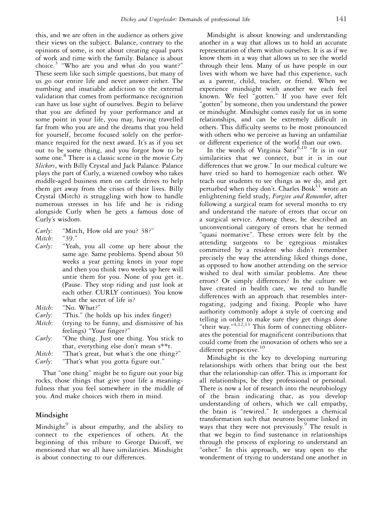this, and we are often in the audience as others give their views on the subject. Balance, contrary to the opinions of some, is not about creating equal parts of work and time with the family. Balance is about choice.<sup>3</sup> "Who are you and what do you want?" These seem like such simple questions, but many of us go our entire life and never answer either. The numbing and insatiable addiction to the external validation that comes from performance recognition can have us lose sight of ourselves. Begin to believe that you are defined by your performance and at some point in your life, you may, having travelled far from who you are and the dreams that you held for yourself, become focused solely on the performance required for the next award. It's as if you set out to be some thing, and you forgot how to be some one.<sup>8</sup> There is a classic scene in the movie City Slickers, with Billy Crystal and Jack Palance. Palance plays the part of Curly, a wizened cowboy who takes middle-aged business men on cattle drives to help them get away from the crises of their lives. Billy Crystal (Mitch) is struggling with how to handle numerous stresses in his life and he is riding alongside Curly when he gets a famous dose of Curly's wisdom.

- Curly: "Mitch, How old are you? 38?"
- Mitch: "39."
- Curly: "Yeah, you all come up here about the same age. Same problems. Spend about 50 weeks a year getting knots in your rope and then you think two weeks up here will untie them for you. None of you get it. (Pause. They stop riding and just look at each other. CURLY continues). You know what the secret of life is?
- Mitch: "No. What?"
- $Curly$ : "This." (he holds up his index finger)
- Mitch: (trying to be funny, and dismissive of his feelings) ''Your finger?''
- $Curly:$  "One thing. Just one thing. You stick to that, everything else don't mean s\*\*t.
- Mitch: "That's great, but what's the one thing?"
- Curly: "That's what you gotta figure out."

That "one thing" might be to figure out your big rocks, those things that give your life a meaningfulness that you feel somewhere in the middle of you. And make choices with them in mind.

# Mindsight

Mindsight $9$  is about empathy, and the ability to connect to the experiences of others. At the beginning of this tribute to George Daicoff, we mentioned that we all have similarities. Mindsight is about connecting to our differences.

Mindsight is about knowing and understanding another in a way that allows us to hold an accurate representation of them within ourselves. It is as if we know them in a way that allows us to see the world through their lens. Many of us have people in our lives with whom we have had this experience, such as a parent, child, teacher, or friend. When we experience mindsight with another we each feel known. We feel ''gotten.'' If you have ever felt "gotten" by someone, then you understand the power or mindsight. Mindsight comes easily for us in some relationships, and can be extremely difficult in others. This difficulty seems to be most pronounced with others who we perceive as having an unfamiliar or different experience of the world than our own.

In the words of Virginia Satir<sup>6,10</sup> "It is in our similarities that we connect, but it is in our differences that we grow.'' In our medical culture we have tried so hard to homogenize each other. We teach our students to see things as we do, and get perturbed when they don't. Charles  $Bosk<sup>11</sup>$  wrote an enlightening field study, Forgive and Remember, after following a surgical team for several months to try and understand the nature of errors that occur on a surgical service. Among these, he described an unconventional category of errors that he termed "quasi normative". These errors were felt by the attending surgeons to be egregious mistakes committed by a resident who didn't remember precisely the way the attending liked things done, as opposed to how another attending on the service wished to deal with similar problems. Are these errors? Or simply differences? In the culture we have created in health care, we tend to handle differences with an approach that resembles interrogating, judging and fixing. People who have authority commonly adopt a style of coercing and telling in order to make sure they get things done "their way." $4,12,13$  This form of connecting obliterates the potential for magnificent contributions that could come from the innovation of others who see a different perspective.<sup>10</sup>

Mindsight is the key to developing nurturing relationships with others that bring out the best that the relationship can offer. This is important for all relationships, be they professional or personal. There is now a lot of research into the neurobiology of the brain indicating that, as you develop understanding of others, which we call empathy, the brain is ''rewired.'' It undergoes a chemical transformation such that neurons become linked in ways that they were not previously.<sup>9</sup> The result is that we begin to find sustenance in relationships through the process of exploring to understand an "other." In this approach, we stay open to the wonderment of trying to understand one another in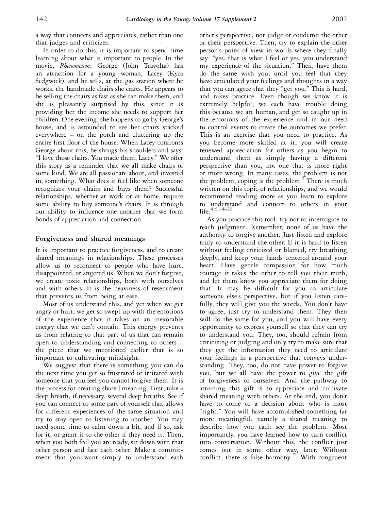a way that connects and appreciates, rather than one that judges and criticizes.

In order to do this, it is important to spend time learning about what is important to people. In the movie, Phenomenon, George (John Travolta) has an attraction for a young woman, Lacey (Kyra Sedgwick), and he sells, at the gas station where he works, the handmade chairs she crafts. He appears to be selling the chairs as fast as she can make them, and she is pleasantly surprised by this, since it is providing her the income she needs to support her children. One evening, she happens to go by George's house, and is astounded to see her chairs stacked everywhere – on the porch and cluttering up the entire first floor of the house. When Lacey confronts George about this, he shrugs his shoulders and says: "I love those chairs. You made them, Lacey." We offer this story as a reminder that we all make chairs of some kind. We are all passionate about, and invested in, something. What does it feel like when someone recognizes your chairs and buys them? Successful relationships, whether at work or at home, require some ability to buy someone's chairs. It is through our ability to influence one another that we form bonds of appreciation and connection.

# Forgiveness and shared meanings

It is important to practice forgiveness, and to create shared meanings in relationships. These processes allow us to reconnect to people who have hurt, disappointed, or angered us. When we don't forgive, we create toxic relationships, both with ourselves and with others. It is the heaviness of resentment that prevents us from being at ease.

Most of us understand this, and yet when we get angry or hurt, we get so swept up with the emotions of the experience that it takes on an inexorable energy that we can't contain. This energy prevents us from relating to that part of us that can remain open to understanding and connecting to others – the piece that we mentioned earlier that is so important to cultivating mindsight.

We suggest that there is something you can do the next time you get so frustrated or irritated with someone that you feel you cannot forgive them. It is the process for creating shared meaning. First, take a deep breath, if necessary, several deep breaths. See if you can connect to some part of yourself that allows for different experiences of the same situation and try to stay open to listening to another. You may need some time to calm down a bit, and if so, ask for it, or grant it to the other if they need it. Then, when you both feel you are ready, sit down with that other person and face each other. Make a commitment that you want simply to understand each

other's perspective, not judge or condemn the other or their perspective. Then, try to explain the other person's point of view in words where they finally say: "yes, that is what I feel or yes, you understand my experience of the situation.'' Then, have them do the same with you, until you feel that they have articulated your feelings and thoughts in a way that you can agree that they ''get you.'' This is hard, and takes practice. Even though we know it is extremely helpful, we each have trouble doing this because we are human, and get so caught up in the emotions of the experience and in our need to control events to create the outcomes we prefer. This is an exercise that you need to practice. As you become more skilled at it, you will create renewed appreciation for others as you begin to understand them as simply having a different perspective than you, not one that is more right or more wrong. In many cases, the problem is not the problem, coping is the problem.<sup>5</sup> There is much written on this topic of relationships, and we would recommend reading more as you learn to explore to understand and connect to others in your life.  $4,6,14-20$ 

As you practice this tool, try not to interrogate to reach judgment. Remember, none of us have the authority to forgive another. Just listen and explore truly to understand the other. If it is hard to listen without feeling criticized or blamed, try breathing deeply, and keep your hands centered around your heart. Have gentle compassion for how much courage it takes the other to tell you their truth, and let them know you appreciate them for doing that. It may be difficult for you to articulate someone else's perspective, but if you listen carefully, they will give you the words. You don't have to agree, just try to understand them. They then will do the same for you, and you will have every opportunity to express yourself so that they can try to understand you. They, too, should refrain from criticizing or judging and only try to make sure that they get the information they need to articulate your feelings in a perspective that conveys understanding. They, too, do not have power to forgive you, but we all have the power to give the gift of forgiveness to ourselves. And the pathway to attaining this gift is to appreciate and cultivate shared meaning with others. At the end, you don't have to come to a decision about who is most "right." You will have accomplished something far more meaningful, namely a shared meaning to describe how you each see the problem. Most importantly, you have learned how to turn conflict into conversation. Without this, the conflict just comes out in some other way, later. Without conflict, there is false harmony.<sup>21</sup> With congruent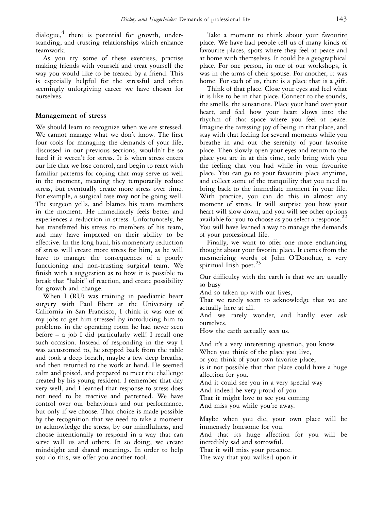dialogue, $4$  there is potential for growth, understanding, and trusting relationships which enhance teamwork.

As you try some of these exercises, practise making friends with yourself and treat yourself the way you would like to be treated by a friend. This is especially helpful for the stressful and often seemingly unforgiving career we have chosen for ourselves.

### Management of stress

We should learn to recognize when we are stressed. We cannot manage what we don't know. The first four tools for managing the demands of your life, discussed in our previous sections, wouldn't be so hard if it weren't for stress. It is when stress enters our life that we lose control, and begin to react with familiar patterns for coping that may serve us well in the moment, meaning they temporarily reduce stress, but eventually create more stress over time. For example, a surgical case may not be going well. The surgeon yells, and blames his team members in the moment. He immediately feels better and experiences a reduction in stress. Unfortunately, he has transferred his stress to members of his team, and may have impacted on their ability to be effective. In the long haul, his momentary reduction of stress will create more stress for him, as he will have to manage the consequences of a poorly functioning and non-trusting surgical team. We finish with a suggestion as to how it is possible to break that ''habit'' of reaction, and create possibility for growth and change.

When I (RU) was training in paediatric heart surgery with Paul Ebert at the University of California in San Francisco, I think it was one of my jobs to get him stressed by introducing him to problems in the operating room he had never seen before – a job I did particularly well! I recall one such occasion. Instead of responding in the way I was accustomed to, he stepped back from the table and took a deep breath, maybe a few deep breaths, and then returned to the work at hand. He seemed calm and poised, and prepared to meet the challenge created by his young resident. I remember that day very well, and I learned that response to stress does not need to be reactive and patterned. We have control over our behaviours and our performance, but only if we choose. That choice is made possible by the recognition that we need to take a moment to acknowledge the stress, by our mindfulness, and choose intentionally to respond in a way that can serve well us and others. In so doing, we create mindsight and shared meanings. In order to help you do this, we offer you another tool.

Take a moment to think about your favourite place. We have had people tell us of many kinds of favourite places, spots where they feel at peace and at home with themselves. It could be a geographical place. For one person, in one of our workshops, it was in the arms of their spouse. For another, it was home. For each of us, there is a place that is a gift.

Think of that place. Close your eyes and feel what it is like to be in that place. Connect to the sounds, the smells, the sensations. Place your hand over your heart, and feel how your heart slows into the rhythm of that space where you feel at peace. Imagine the caressing joy of being in that place, and stay with that feeling for several moments while you breathe in and out the serenity of your favorite place. Then slowly open your eyes and return to the place you are in at this time, only bring with you the feeling that you had while in your favourite place. You can go to your favourite place anytime, and collect some of the tranquility that you need to bring back to the immediate moment in your life. With practice, you can do this in almost any moment of stress. It will surprise you how your heart will slow down, and you will see other options available for you to choose as you select a response.<sup>22</sup> You will have learned a way to manage the demands of your professional life.

Finally, we want to offer one more enchanting thought about your favorite place. It comes from the mesmerizing words of John O'Donohue, a very spiritual Irish poet.<sup>2</sup>

Our difficulty with the earth is that we are usually so busy

And so taken up with our lives,

That we rarely seem to acknowledge that we are actually here at all.

And we rarely wonder, and hardly ever ask ourselves,

How the earth actually sees us.

And it's a very interesting question, you know. When you think of the place you live, or you think of your own favorite place, is it not possible that that place could have a huge affection for you. And it could see you in a very special way And indeed be very proud of you. That it might love to see you coming And miss you while you're away.

Maybe when you die, your own place will be immensely lonesome for you.

And that its huge affection for you will be incredibly sad and sorrowful.

That it will miss your presence.

The way that you walked upon it.